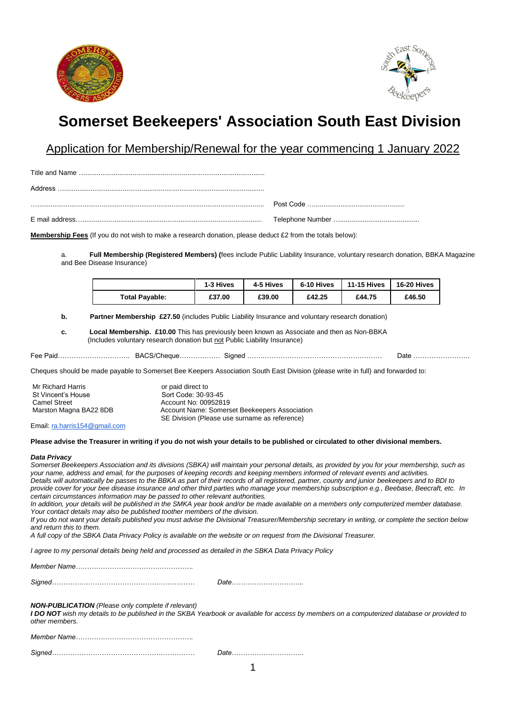



# **Somerset Beekeepers' Association South East Division**

Application for Membership/Renewal for the year commencing 1 January 2022

Title and Name …............................................................................................... Address ….......................................................................................................... …........................................................................................................................ Post Code …................................................

E mail address…............................................................................................... Telephone Number …..........................................

**Membership Fees** (If you do not wish to make a research donation, please deduct £2 from the totals below):

a. **Full Membership (Registered Members) (**fees include Public Liability Insurance, voluntary research donation, BBKA Magazine and Bee Disease Insurance)

|                       | 1-3 Hives | 4-5 Hives | 6-10 Hives | 11-15 Hives | 16-20 Hives |
|-----------------------|-----------|-----------|------------|-------------|-------------|
| <b>Total Payable:</b> | £37.00    | £39.00    | £42.25     | £44.75      | £46.50      |

**b.** Partner Membership £27.50 (includes Public Liability Insurance and voluntary research donation)

**c. Local Membership. £10.00** This has previously been known as Associate and then as Non-BBKA (Includes voluntary research donation but not Public Liability Insurance)

Fee Paid………………………….. BACS/Cheque……………… Signed ……..…………………………………….……… Date …………………….

Cheques should be made payable to Somerset Bee Keepers Association South East Division (please write in full) and forwarded to:

| Mr Richard Harris      | or paid direct to                             |
|------------------------|-----------------------------------------------|
| St Vincent's House     | Sort Code: 30-93-45                           |
| <b>Camel Street</b>    | Account No: 00952819                          |
| Marston Magna BA22 8DB | Account Name: Somerset Beekeepers Association |
|                        | SE Division (Please use surname as reference) |

Email[: ra.harris154@gmail.com](mailto:ra.harris154@gmail.com)

### **Please advise the Treasurer in writing if you do not wish your details to be published or circulated to other divisional members.**

#### *Data Privacy*

*Somerset Beekeepers Association and its divisions (SBKA) will maintain your personal details, as provided by you for your membership, such as your name, address and email, for the purposes of keeping records and keeping members informed of relevant events and activities. Details will automatically be passes to the BBKA as part of their records of all registered, partner, county and junior beekeepers and to BDI to provide cover for your bee disease insurance and other third parties who manage your membership subscription e.g., Beebase, Beecraft, etc. In certain circumstances information may be passed to other relevant authorities. In addition, your details will be published in the SMKA year book and/or be made available on a members only computerized member database. Your contact details may also be published toother members of the division. If you do not want your details published you must advise the Divisional Treasurer/Membership secretary in writing, or complete the section below and return this to them. A full copy of the SBKA Data Privacy Policy is available on the website or on request from the Divisional Treasurer. I agree to my personal details being held and processed as detailed in the SBKA Data Privacy Policy Member Name……………………………………………. Signed……………………………………………………… Date………………………….. NON-PUBLICATION (Please only complete if relevant) I DO NOT wish my details to be published in the SKBA Yearbook or available for access by members on a computerized database or provided to other members. Member Name……………………………………………. Signed……………………………………………………… Date…………………………..*